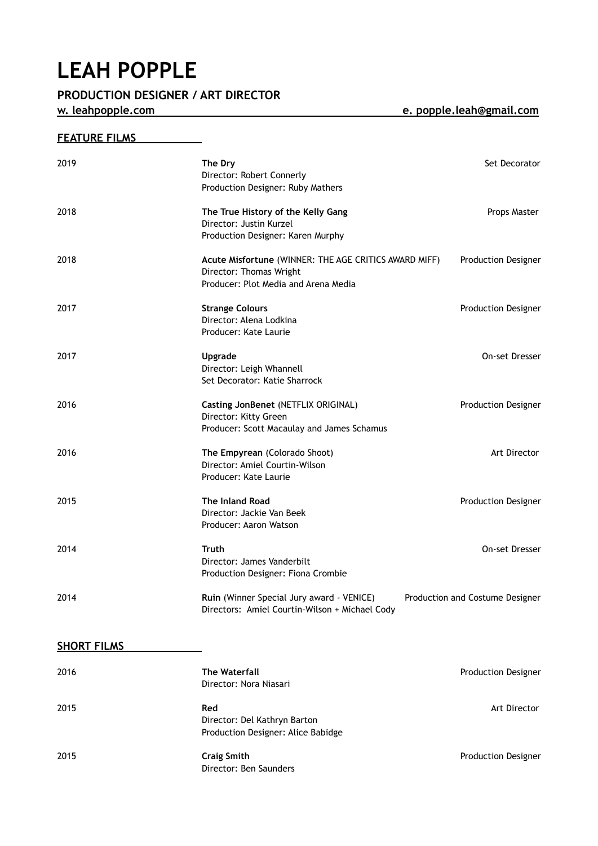## **LEAH POPPLE**<br>**PRODUCTION DESIGNER / ART DIRECTOR**

**w. [leahpopple.com](http://leahpopple.com) e. popple.leah@gmail.com** 

## **FEATURE FILMS**

| 2019               | The Dry<br>Director: Robert Connerly<br>Production Designer: Ruby Mathers                                                | Set Decorator                   |
|--------------------|--------------------------------------------------------------------------------------------------------------------------|---------------------------------|
| 2018               | The True History of the Kelly Gang<br>Director: Justin Kurzel<br>Production Designer: Karen Murphy                       | Props Master                    |
| 2018               | Acute Misfortune (WINNER: THE AGE CRITICS AWARD MIFF)<br>Director: Thomas Wright<br>Producer: Plot Media and Arena Media | <b>Production Designer</b>      |
| 2017               | <b>Strange Colours</b><br>Director: Alena Lodkina<br>Producer: Kate Laurie                                               | Production Designer             |
| 2017               | Upgrade<br>Director: Leigh Whannell<br>Set Decorator: Katie Sharrock                                                     | On-set Dresser                  |
| 2016               | Casting JonBenet (NETFLIX ORIGINAL)<br>Director: Kitty Green<br>Producer: Scott Macaulay and James Schamus               | <b>Production Designer</b>      |
| 2016               | The Empyrean (Colorado Shoot)<br>Director: Amiel Courtin-Wilson<br>Producer: Kate Laurie                                 | Art Director                    |
| 2015               | <b>The Inland Road</b><br>Director: Jackie Van Beek<br>Producer: Aaron Watson                                            | <b>Production Designer</b>      |
| 2014               | <b>Truth</b><br>Director: James Vanderbilt<br>Production Designer: Fiona Crombie                                         | On-set Dresser                  |
| 2014               | Ruin (Winner Special Jury award - VENICE)<br>Directors: Amiel Courtin-Wilson + Michael Cody                              | Production and Costume Designer |
| <b>SHORT FILMS</b> |                                                                                                                          |                                 |
| 2016               | <b>The Waterfall</b><br>Director: Nora Niasari                                                                           | <b>Production Designer</b>      |
| 2015               | Red<br>Director: Del Kathryn Barton<br>Production Designer: Alice Babidge                                                | Art Director                    |
| 2015               | <b>Craig Smith</b>                                                                                                       | Production Designer             |

Director: Ben Saunders